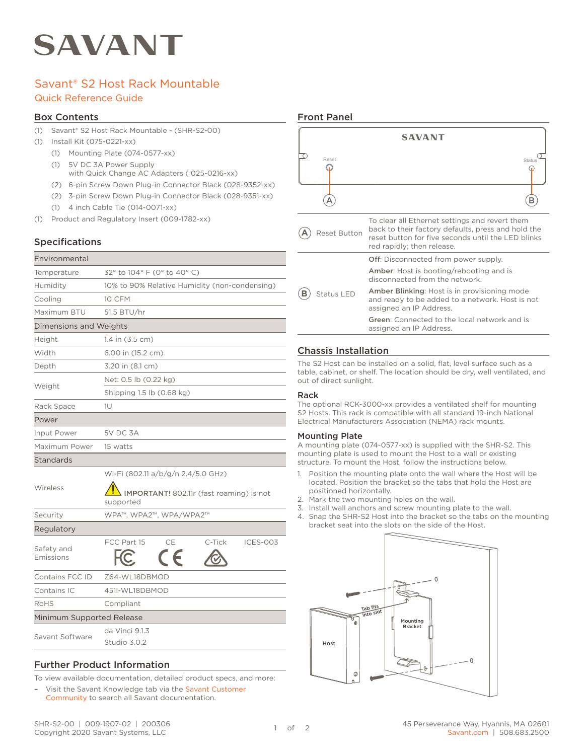# SAVANT

# Savant® S2 Host Rack Mountable Quick Reference Guide

#### Box Contents

- (1) Savant® S2 Host Rack Mountable (SHR-S2-00)
- (1) Install Kit (075-0221-xx)
	- (1) Mounting Plate (074-0577-xx)
	- (1) 5V DC 3A Power Supply
		- with Quick Change AC Adapters ( 025-0216-xx)
	- (2) 6-pin Screw Down Plug-in Connector Black (028-9352-xx)
	- (2) 3-pin Screw Down Plug-in Connector Black (028-9351-xx)
	- (1) 4 inch Cable Tie (014-0071-xx)
- (1) Product and Regulatory Insert (009-1782-xx)

## Specifications

| Environmental             |                                                       |  |
|---------------------------|-------------------------------------------------------|--|
| Temperature               | 32° to 104° F (0° to 40° C)                           |  |
| Humidity                  | 10% to 90% Relative Humidity (non-condensing)         |  |
| Cooling                   | <b>10 CFM</b>                                         |  |
| Maximum BTU               | 51.5 BTU/hr                                           |  |
| Dimensions and Weights    |                                                       |  |
| Height                    | 1.4 in (3.5 cm)                                       |  |
| Width                     | 6.00 in (15.2 cm)                                     |  |
| Depth                     | 3.20 in (8.1 cm)                                      |  |
| Weight                    | Net: 0.5 lb (0.22 kg)                                 |  |
|                           | Shipping 1.5 lb (0.68 kg)                             |  |
| Rack Space                | 1U                                                    |  |
| Power                     |                                                       |  |
| Input Power               | <b>5V DC 3A</b>                                       |  |
| Maximum Power             | 15 watts                                              |  |
| Standards                 |                                                       |  |
| Wireless                  | Wi-Fi (802.11 a/b/g/n 2.4/5.0 GHz)                    |  |
|                           | IMPORTANT! 802.11r (fast roaming) is not<br>supported |  |
| Security                  | WPA™, WPA2™, WPA/WPA2™                                |  |
| Regulatory                |                                                       |  |
| Safety and<br>Emissions   | CE<br>FCC Part 15<br>C-Tick<br><b>ICES-003</b>        |  |
| Contains FCC ID           | Z64-WL18DBMOD                                         |  |
| Contains IC               | 451I-WL18DBMOD                                        |  |
| RoHS                      | Compliant                                             |  |
| Minimum Supported Release |                                                       |  |
| Savant Software           | da Vinci 9.1.3<br>Studio 3.0.2                        |  |
|                           |                                                       |  |

#### Further Product Information

To view available documentation, detailed product specs, and more:

– Visit the Savant Knowledge tab via the [Savant Customer](https://community.savant.com/Customers/CommunitiesLandingPage)  [Community](https://community.savant.com/Customers/CommunitiesLandingPage) to search all Savant documentation.

#### Front Panel



## Chassis Installation

The S2 Host can be installed on a solid, flat, level surface such as a table, cabinet, or shelf. The location should be dry, well ventilated, and out of direct sunlight.

#### Rack

The optional RCK-3000-xx provides a ventilated shelf for mounting S2 Hosts. This rack is compatible with all standard 19-inch National Electrical Manufacturers Association (NEMA) rack mounts.

#### Mounting Plate

A mounting plate (074-0577-xx) is supplied with the SHR-S2. This mounting plate is used to mount the Host to a wall or existing structure. To mount the Host, follow the instructions below.

- 1. Position the mounting plate onto the wall where the Host will be located. Position the bracket so the tabs that hold the Host are positioned horizontally.
- 2. Mark the two mounting holes on the wall.
- 3. Install wall anchors and screw mounting plate to the wall.
- 4. Snap the SHR-S2 Host into the bracket so the tabs on the mounting bracket seat into the slots on the side of the Host.